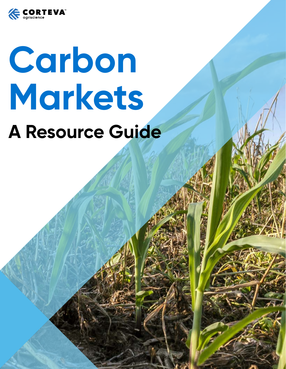

# **Carbon Markets A Resource Guide**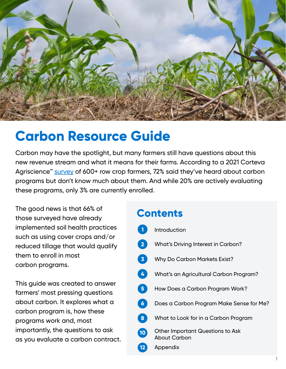

# **Carbon Resource Guide**

Carbon may have the spotlight, but many farmers still have questions about this new revenue stream and what it means for their farms. According to a 2021 Corteva Agriscience<sup>™</sup> [survey](https://www.corteva.com/resources/media-center/new-corteva-survey-reveals-farmer-sentiment-on-soil-health-practices-and-carbon-credit-program.html) of 600+ row crop farmers, 72% said they've heard about carbon programs but don't know much about them. And while 20% are actively evaluating these programs, only 3% are currently enrolled.

The good news is that 66% of those surveyed have already implemented soil health practices such as using cover crops and/or reduced tillage that would qualify them to enroll in most carbon programs.

This guide was created to answer farmers' most pressing questions about carbon. It explores what a carbon program is, how these programs work and, most importantly, the questions to ask as you evaluate a carbon contract.

#### **Contents**

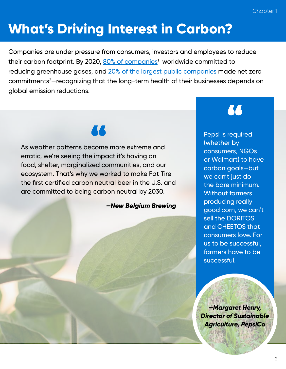# **What's Driving Interest in Carbon?**

Companies are under pressure from consumers, investors and employees to reduce their carbon footprint. By 2020, <u>80% of companies</u>1 worldwide committed to reducing greenhouse gases, and [20% of the largest public companies](https://ca1-eci.edcdn.com/reports/ECIU-Oxford_Taking_Stock.pdf?v=1616461369) made net zero commitments2 —recognizing that the long-term health of their businesses depends on global emission reductions.

# 66

As weather patterns become more extreme and erratic, we're seeing the impact it's having on food, shelter, marginalized communities, and our ecosystem. That's why we worked to make Fat Tire the first certified carbon neutral beer in the U.S. and are committed to being carbon neutral by 2030.

*—New Belgium Brewing* 

# 66

Pepsi is required (whether by consumers, NGOs or Walmart) to have carbon goals—but we can't just do the bare minimum. Without farmers producing really good corn, we can't sell the DORITOS and CHEETOS that consumers love. For us to be successful, farmers have to be successful.

*—Margaret Henry, Director of Sustainable Agriculture, PepsiCo*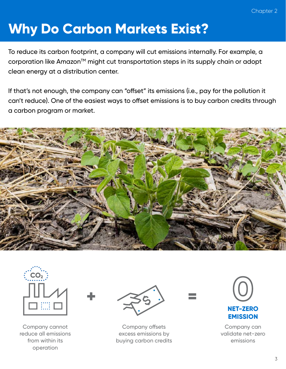# **Why Do Carbon Markets Exist?**

To reduce its carbon footprint, a company will cut emissions internally. For example, a corporation like Amazon<sup>™</sup> might cut transportation steps in its supply chain or adopt clean energy at a distribution center.

If that's not enough, the company can "offset" its emissions (i.e., pay for the pollution it can't reduce). One of the easiest ways to offset emissions is to buy carbon credits through a carbon program or market.





Company cannot reduce all emissions from within its operation



Company offsets excess emissions by buying carbon credits



Company can validate net-zero emissions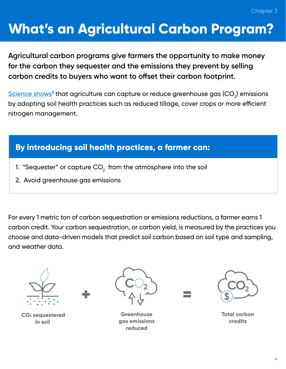#### Chapter 3

# **What's an Agricultural Carbon Program?**

**Agricultural carbon programs give farmers the opportunity to make money for the carbon they sequester and the emissions they prevent by selling carbon credits to buyers who want to offset their carbon footprint.**

 $\frac{\rm Science~shows^{3}}{\rm that}$  agriculture can capture or reduce greenhouse gas (CO $_{2}$ ) emissions by adopting soil health practices such as reduced tillage, cover crops or more efficient nitrogen management.

#### **By introducing soil health practices, a farmer can:**

- 1. "Sequester" or capture CO $\rm _2$  from the atmosphere into the soil
- 2. Avoid greenhouse gas emissions

For every 1 metric ton of carbon sequestration or emissions reductions, a farmer earns 1 carbon credit. Your carbon sequestration, or carbon yield, is measured by the practices you choose and data-driven models that predict soil carbon based on soil type and sampling, and weather data.



 **CO2 sequestered in soil**



**Greenhouse gas emissions reduced**



**Total carbon credits**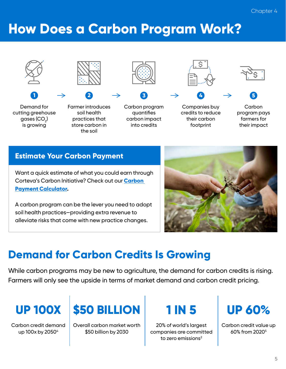# **How Does a Carbon Program Work?**





Demand for cutting greehouse  $1$   $\rightarrow$   $2$   $\rightarrow$   $3$   $\rightarrow$   $4$ 

gases (CO $_{\rm 2}$ ) is growing

Farmer introduces soil health practices that store carbon in

the soil

Carbon program quantifies carbon impact

into credits



Companies buy credits to reduce their carbon footprint



**Carbon 5**

program pays farmers for their impact

#### **Estimate Your Carbon Payment**

Want a quick estimate of what you could earn through Corteva's Carbon Initiative? Check out our **[Carbon](https://granular.ag/carbon-calculator/?utm_source=corteva&utm_medium=email&utm_content=0&utm_campaign=gi-q1-carbon-resource-guide-us-20211210)  [Payment Calculator.](https://granular.ag/carbon-calculator/?utm_source=corteva&utm_medium=email&utm_content=0&utm_campaign=gi-q1-carbon-resource-guide-us-20211210)**

A carbon program can be the lever you need to adopt soil health practices—providing extra revenue to alleviate risks that come with new practice changes.



#### **Demand for Carbon Credits Is Growing**

While carbon programs may be new to agriculture, the demand for carbon credits is rising. Farmers will only see the upside in terms of market demand and carbon credit pricing.

Carbon credit demand up 100x by 2050<sup>4</sup>



Overall carbon market worth \$50 billion by 2030

20% of world's largest companies are committed to zero emissions $2$ 



Carbon credit value up 60% from 20205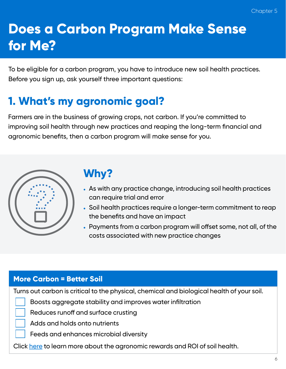# **Does a Carbon Program Make Sense for Me?**

To be eligible for a carbon program, you have to introduce new soil health practices. Before you sign up, ask yourself three important questions:

# **1. What's my agronomic goal?**

Farmers are in the business of growing crops, not carbon. If you're committed to improving soil health through new practices and reaping the long-term financial and agronomic benefits, then a carbon program will make sense for you.



# **Why?**

- As with any practice change, introducing soil health practices can require trial and error
- Soil health practices require a longer-term commitment to reap the benefits and have an impact
- Payments from a carbon program will offset some, not all, of the costs associated with new practice changes

#### **More Carbon = Better Soil**

Turns out carbon is critical to the physical, chemical and biological health of your soil.

Boosts aggregate stability and improves water infiltration

Reduces runoff and surface crusting

Adds and holds onto nutrients

Feeds and enhances microbial diversity

Click [here](https://images.engage.corteva.com/Web/DuPontAgricultureNA/%7Bb72bb2a8-1bf3-4513-a4b8-47eda739d6fe%7D_Granular_SoilHealthResourceGuide.pdf) to learn more about the agronomic rewards and ROI of soil health.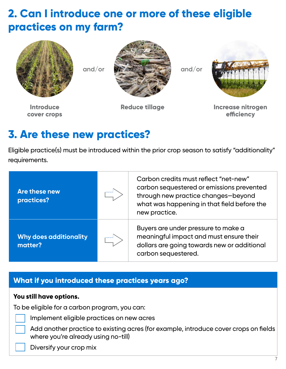### **2. Can I introduce one or more of these eligible practices on my farm?**





**Introduce cover crops**



**Reduce tillage Increase nitrogen efficiency**

#### **3. Are these new practices?**

Eligible practice(s) must be introduced within the prior crop season to satisfy "additionality" requirements.

| Are these new<br>practices?                   |  | Carbon credits must reflect "net-new"<br>carbon sequestered or emissions prevented<br>through new practice changes-beyond<br>what was happening in that field before the<br>new practice. |  |
|-----------------------------------------------|--|-------------------------------------------------------------------------------------------------------------------------------------------------------------------------------------------|--|
| <b>Why does additionality</b><br>.<br>matter? |  | Buyers are under pressure to make a<br>meaningful impact and must ensure their<br>dollars are going towards new or additional<br>carbon sequestered.                                      |  |

#### **What if you introduced these practices years ago?**

#### **You still have options.**

To be eligible for a carbon program, you can:



- Implement eligible practices on new acres
- Add another practice to existing acres (for example, introduce cover crops on fields where you're already using no-till)
- Diversify your crop mix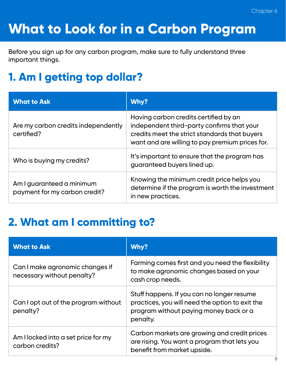# **What to Look for in a Carbon Program**

Before you sign up for any carbon program, make sure to fully understand three important things.

# **1. Am I getting top dollar?**

| <b>What to Ask</b>                                         | Why?                                                                                                                                                                                    |
|------------------------------------------------------------|-----------------------------------------------------------------------------------------------------------------------------------------------------------------------------------------|
| Are my carbon credits independently<br>certified?          | Having carbon credits certified by an<br>independent third-party confirms that your<br>credits meet the strict standards that buyers<br>want and are willing to pay premium prices for. |
| Who is buying my credits?                                  | It's important to ensure that the program has<br>guaranteed buyers lined up.                                                                                                            |
| Am I guaranteed a minimum<br>payment for my carbon credit? | Knowing the minimum credit price helps you<br>determine if the program is worth the investment<br>in new practices.                                                                     |

#### **2. What am I committing to?**

| <b>What to Ask</b>                                            | Why?                                                                                                                                                |  |  |
|---------------------------------------------------------------|-----------------------------------------------------------------------------------------------------------------------------------------------------|--|--|
| Can I make agronomic changes if<br>necessary without penalty? | Farming comes first and you need the flexibility<br>to make agronomic changes based on your<br>cash crop needs.                                     |  |  |
| Can I opt out of the program without<br>penalty?              | Stuff happens. If you can no longer resume<br>practices, you will need the option to exit the<br>program without paying money back or a<br>penalty. |  |  |
| Am I locked into a set price for my<br>carbon credits?        | Carbon markets are growing and credit prices<br>are rising. You want a program that lets you<br>benefit from market upside.                         |  |  |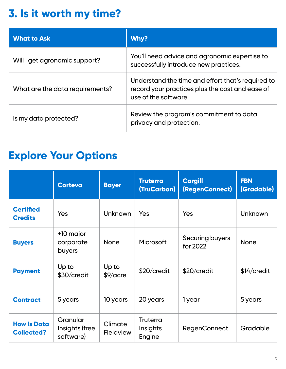# **3. Is it worth my time?**

| <b>What to Ask</b>              | Why?                                                                                                                         |
|---------------------------------|------------------------------------------------------------------------------------------------------------------------------|
| Will I get agronomic support?   | You'll need advice and agronomic expertise to<br>successfully introduce new practices.                                       |
| What are the data requirements? | Understand the time and effort that's required to<br>record your practices plus the cost and ease of<br>use of the software. |
| Is my data protected?           | Review the program's commitment to data<br>privacy and protection.                                                           |

#### **Explore Your Options**

|                                         | <b>Corteva</b>                          | <b>Bayer</b>                | <b>Truterra</b><br>(TruCarbon)        | <b>Cargill</b><br>(RegenConnect) | <b>FBN</b><br>(Gradable) |
|-----------------------------------------|-----------------------------------------|-----------------------------|---------------------------------------|----------------------------------|--------------------------|
| <b>Certified</b><br><b>Credits</b>      | Yes                                     | <b>Unknown</b>              | Yes                                   | <b>Yes</b>                       | <b>Unknown</b>           |
| <b>Buyers</b>                           | +10 major<br>corporate<br>buyers        | <b>None</b>                 | Microsoft                             | Securing buyers<br>for 2022      | <b>None</b>              |
| <b>Payment</b>                          | Up to<br>\$30/credit                    | Up to<br>$$9/$ acre         | \$20/credit                           | \$20/credit                      | $$14/c$ redit            |
| <b>Contract</b>                         | 5 years                                 | 10 years                    | 20 years                              | 1 year                           | 5 years                  |
| <b>How Is Data</b><br><b>Collected?</b> | Granular<br>Insights (free<br>software) | Climate<br><b>Fieldview</b> | <b>Truterra</b><br>Insights<br>Engine | <b>RegenConnect</b>              | Gradable                 |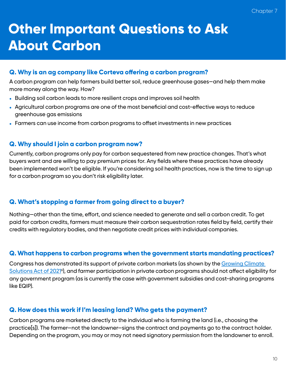# **Other Important Questions to Ask About Carbon**

#### **Q. Why is an ag company like Corteva offering a carbon program?**

A carbon program can help farmers build better soil, reduce greenhouse gases—and help them make more money along the way. How?

- Building soil carbon leads to more resilient crops and improves soil health
- Agricultural carbon programs are one of the most beneficial and cost-effective ways to reduce greenhouse gas emissions
- Farmers can use income from carbon programs to offset investments in new practices

#### **Q. Why should I join a carbon program now?**

Currently, carbon programs only pay for carbon sequestered from new practice changes. That's what buyers want and are willing to pay premium prices for. Any fields where these practices have already been implemented won't be eligible. If you're considering soil health practices, now is the time to sign up for a carbon program so you don't risk eligibility later.

#### **Q. What's stopping a farmer from going direct to a buyer?**

Nothing—other than the time, effort, and science needed to generate and sell a carbon credit. To get paid for carbon credits, farmers must measure their carbon sequestration rates field by field, certify their credits with regulatory bodies, and then negotiate credit prices with individual companies.

#### **Q. What happens to carbon programs when the government starts mandating practices?**

Congress has demonstrated its support of private carbon markets (as shown by the Growing Climate Solutions Act of 2021<sup>6</sup>), and farmer participation in private carbon programs should not affect eligibility for any government program (as is currently the case with government subsidies and cost-sharing programs like EQIP).

#### **Q. How does this work if I'm leasing land? Who gets the payment?**

Carbon programs are marketed directly to the individual who is farming the land (i.e., choosing the practice[s]). The farmer—not the landowner—signs the contract and payments go to the contract holder. Depending on the program, you may or may not need signatory permission from the landowner to enroll.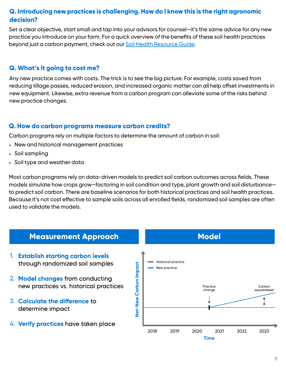#### **Q. Introducing new practices is challenging. How do I know this is the right agronomic decision?**

Set a clear objective, start small and tap into your advisors for counsel—it's the same advice for any new practice you introduce on your farm. For a quick overview of the benefits of these soil health practices beyond just a carbon payment, check out our [Soil Health Resource Guide](https://images.engage.corteva.com/Web/DuPontAgricultureNA/%7Bb72bb2a8-1bf3-4513-a4b8-47eda739d6fe%7D_Granular_SoilHealthResourceGuide.pdf).

#### **Q. What's it going to cost me?**

Any new practice comes with costs. The trick is to see the big picture. For example, costs saved from reducing tillage passes, reduced erosion, and increased organic matter can all help offset investments in new equipment. Likewise, extra revenue from a carbon program can alleviate some of the risks behind new practice changes.

#### **Q. How do carbon programs measure carbon credits?**

Carbon programs rely on multiple factors to determine the amount of carbon in soil:

- New and historical management practices
- Soil sampling
- Soil type and weather data

Most carbon programs rely on data-driven models to predict soil carbon outcomes across fields. These models simulate how crops grow—factoring in soil condition and type, plant growth and soil disturbance to predict soil carbon. There are baseline scenarios for both historical practices and soil health practices. Because it's not cost effective to sample soils across all enrolled fields, randomized soil samples are often used to validate the models.